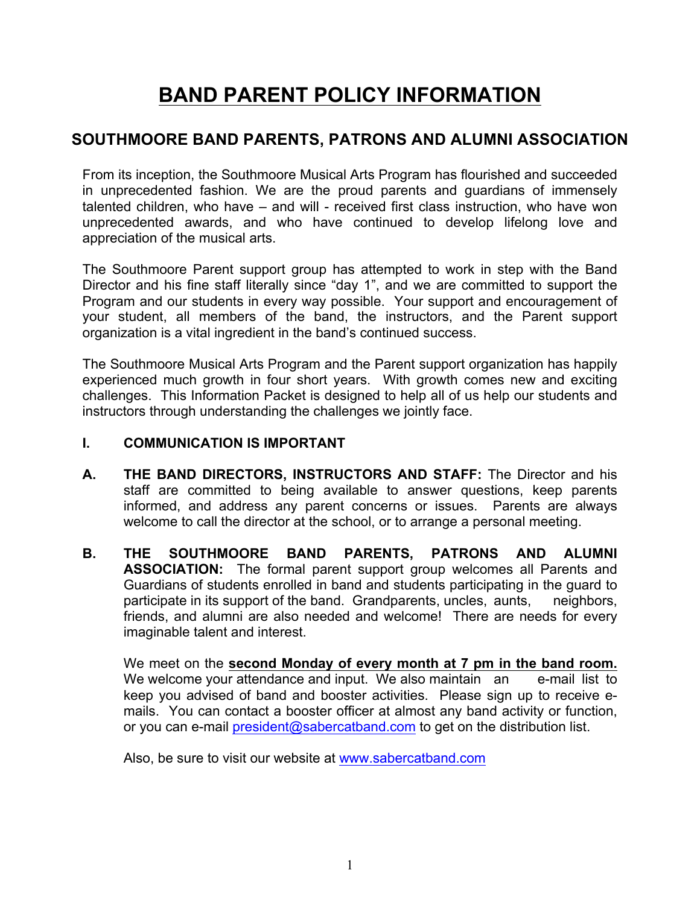# **BAND PARENT POLICY INFORMATION**

# **SOUTHMOORE BAND PARENTS, PATRONS AND ALUMNI ASSOCIATION**

From its inception, the Southmoore Musical Arts Program has flourished and succeeded in unprecedented fashion. We are the proud parents and guardians of immensely talented children, who have – and will - received first class instruction, who have won unprecedented awards, and who have continued to develop lifelong love and appreciation of the musical arts.

The Southmoore Parent support group has attempted to work in step with the Band Director and his fine staff literally since "day 1", and we are committed to support the Program and our students in every way possible. Your support and encouragement of your student, all members of the band, the instructors, and the Parent support organization is a vital ingredient in the band's continued success.

The Southmoore Musical Arts Program and the Parent support organization has happily experienced much growth in four short years. With growth comes new and exciting challenges. This Information Packet is designed to help all of us help our students and instructors through understanding the challenges we jointly face.

#### **I. COMMUNICATION IS IMPORTANT**

- **A. THE BAND DIRECTORS, INSTRUCTORS AND STAFF:** The Director and his staff are committed to being available to answer questions, keep parents informed, and address any parent concerns or issues. Parents are always welcome to call the director at the school, or to arrange a personal meeting.
- **B. THE SOUTHMOORE BAND PARENTS, PATRONS AND ALUMNI ASSOCIATION:** The formal parent support group welcomes all Parents and Guardians of students enrolled in band and students participating in the guard to participate in its support of the band. Grandparents, uncles, aunts, neighbors, friends, and alumni are also needed and welcome! There are needs for every imaginable talent and interest.

We meet on the **second Monday of every month at 7 pm in the band room.**  We welcome your attendance and input. We also maintain an e-mail list to keep you advised of band and booster activities. Please sign up to receive emails. You can contact a booster officer at almost any band activity or function, or you can e-mail president@sabercatband.com to get on the distribution list.

Also, be sure to visit our website at www.sabercatband.com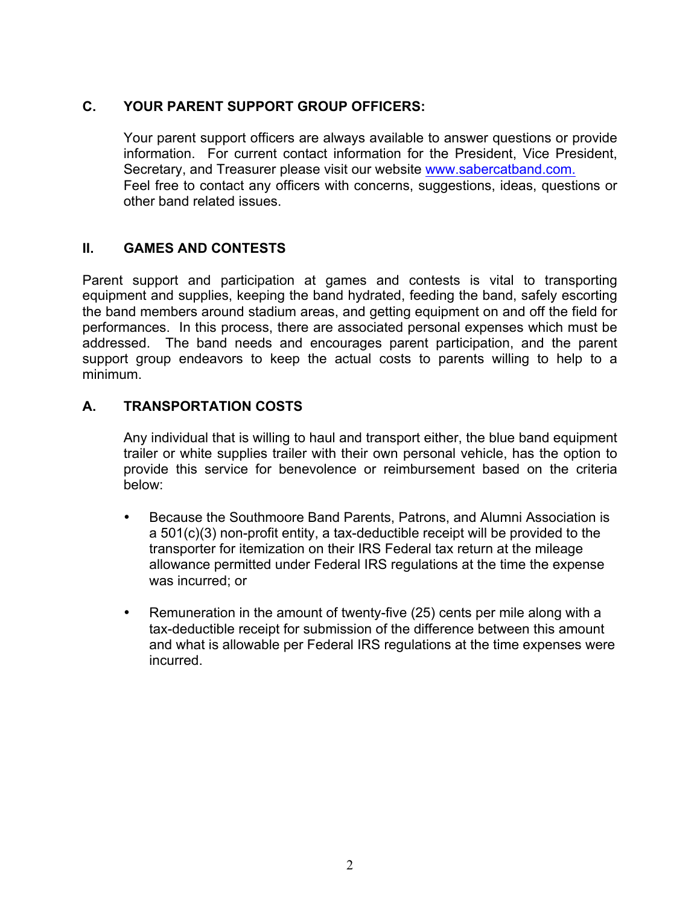## **C. YOUR PARENT SUPPORT GROUP OFFICERS:**

Your parent support officers are always available to answer questions or provide information. For current contact information for the President, Vice President, Secretary, and Treasurer please visit our website www.sabercatband.com. Feel free to contact any officers with concerns, suggestions, ideas, questions or other band related issues.

#### **II. GAMES AND CONTESTS**

Parent support and participation at games and contests is vital to transporting equipment and supplies, keeping the band hydrated, feeding the band, safely escorting the band members around stadium areas, and getting equipment on and off the field for performances. In this process, there are associated personal expenses which must be addressed. The band needs and encourages parent participation, and the parent support group endeavors to keep the actual costs to parents willing to help to a minimum.

#### **A. TRANSPORTATION COSTS**

Any individual that is willing to haul and transport either, the blue band equipment trailer or white supplies trailer with their own personal vehicle, has the option to provide this service for benevolence or reimbursement based on the criteria below:

- Because the Southmoore Band Parents, Patrons, and Alumni Association is a 501(c)(3) non-profit entity, a tax-deductible receipt will be provided to the transporter for itemization on their IRS Federal tax return at the mileage allowance permitted under Federal IRS regulations at the time the expense was incurred; or
- Remuneration in the amount of twenty-five (25) cents per mile along with a tax-deductible receipt for submission of the difference between this amount and what is allowable per Federal IRS regulations at the time expenses were incurred.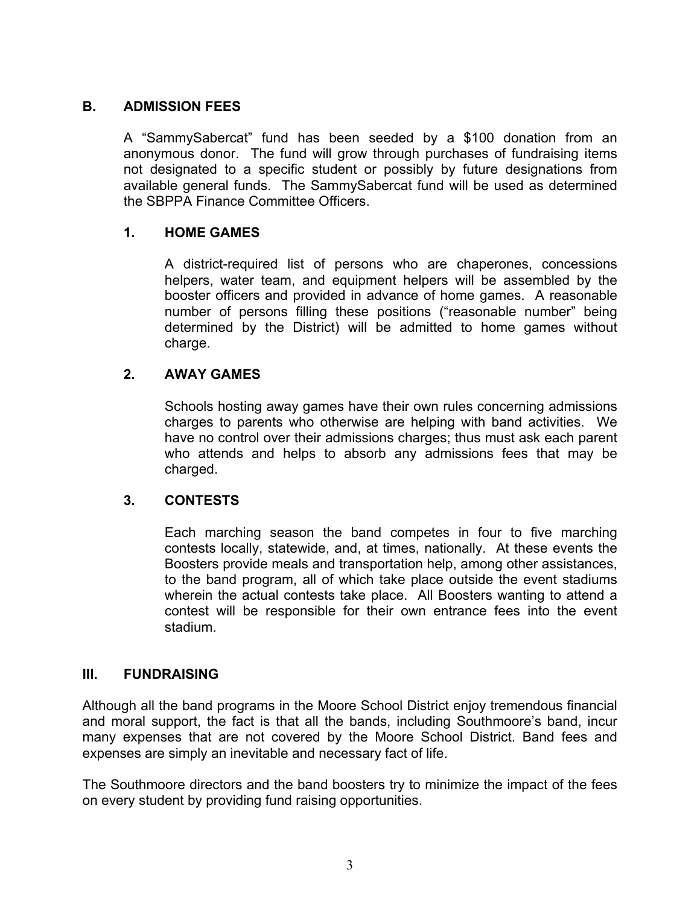#### **B. ADMISSION FEES**

A "SammySabercat" fund has been seeded by a \$100 donation from an anonymous donor. The fund will grow through purchases of fundraising items not designated to a specific student or possibly by future designations from available general funds. The SammySabercat fund will be used as determined the SBPPA Finance Committee Officers.

#### **1. HOME GAMES**

A district-required list of persons who are chaperones, concessions helpers, water team, and equipment helpers will be assembled by the booster officers and provided in advance of home games. A reasonable number of persons filling these positions ("reasonable number" being determined by the District) will be admitted to home games without charge.

#### **2. AWAY GAMES**

Schools hosting away games have their own rules concerning admissions charges to parents who otherwise are helping with band activities. We have no control over their admissions charges; thus must ask each parent who attends and helps to absorb any admissions fees that may be charged.

#### **3. CONTESTS**

Each marching season the band competes in four to five marching contests locally, statewide, and, at times, nationally. At these events the Boosters provide meals and transportation help, among other assistances, to the band program, all of which take place outside the event stadiums wherein the actual contests take place. All Boosters wanting to attend a contest will be responsible for their own entrance fees into the event stadium.

#### **III. FUNDRAISING**

Although all the band programs in the Moore School District enjoy tremendous financial and moral support, the fact is that all the bands, including Southmoore's band, incur many expenses that are not covered by the Moore School District. Band fees and expenses are simply an inevitable and necessary fact of life.

The Southmoore directors and the band boosters try to minimize the impact of the fees on every student by providing fund raising opportunities.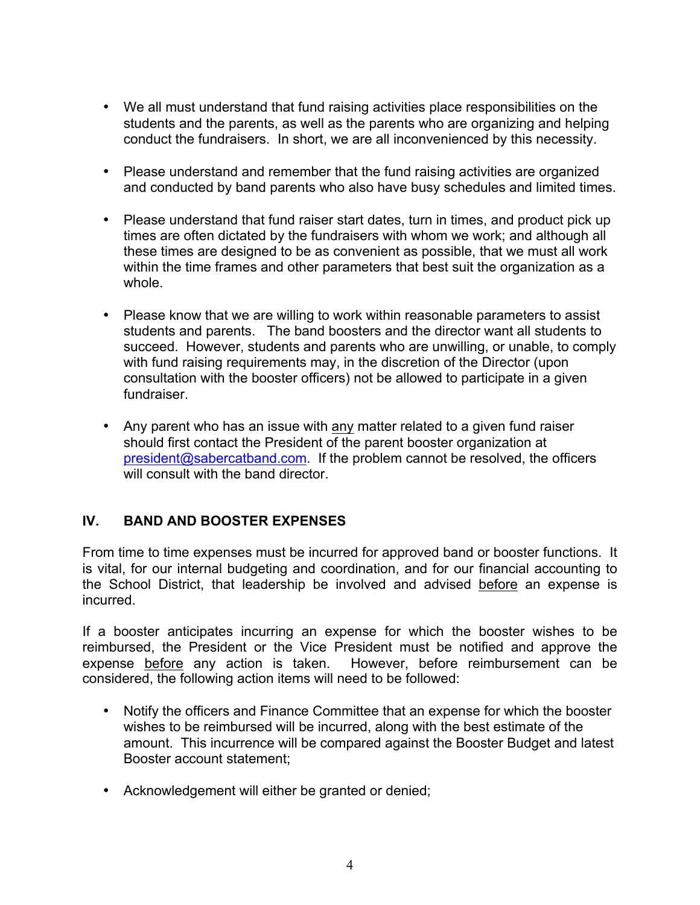- We all must understand that fund raising activities place responsibilities on the students and the parents, as well as the parents who are organizing and helping conduct the fundraisers. In short, we are all inconvenienced by this necessity.
- Please understand and remember that the fund raising activities are organized and conducted by band parents who also have busy schedules and limited times.
- Please understand that fund raiser start dates, turn in times, and product pick up times are often dictated by the fundraisers with whom we work; and although all these times are designed to be as convenient as possible, that we must all work within the time frames and other parameters that best suit the organization as a whole.
- Please know that we are willing to work within reasonable parameters to assist students and parents. The band boosters and the director want all students to succeed. However, students and parents who are unwilling, or unable, to comply with fund raising requirements may, in the discretion of the Director (upon consultation with the booster officers) not be allowed to participate in a given fundraiser.
- Any parent who has an issue with any matter related to a given fund raiser should first contact the President of the parent booster organization at president@sabercatband.com. If the problem cannot be resolved, the officers will consult with the band director

# **IV. BAND AND BOOSTER EXPENSES**

From time to time expenses must be incurred for approved band or booster functions. It is vital, for our internal budgeting and coordination, and for our financial accounting to the School District, that leadership be involved and advised before an expense is incurred.

If a booster anticipates incurring an expense for which the booster wishes to be reimbursed, the President or the Vice President must be notified and approve the expense before any action is taken. However, before reimbursement can be considered, the following action items will need to be followed:

- Notify the officers and Finance Committee that an expense for which the booster wishes to be reimbursed will be incurred, along with the best estimate of the amount. This incurrence will be compared against the Booster Budget and latest Booster account statement;
- Acknowledgement will either be granted or denied;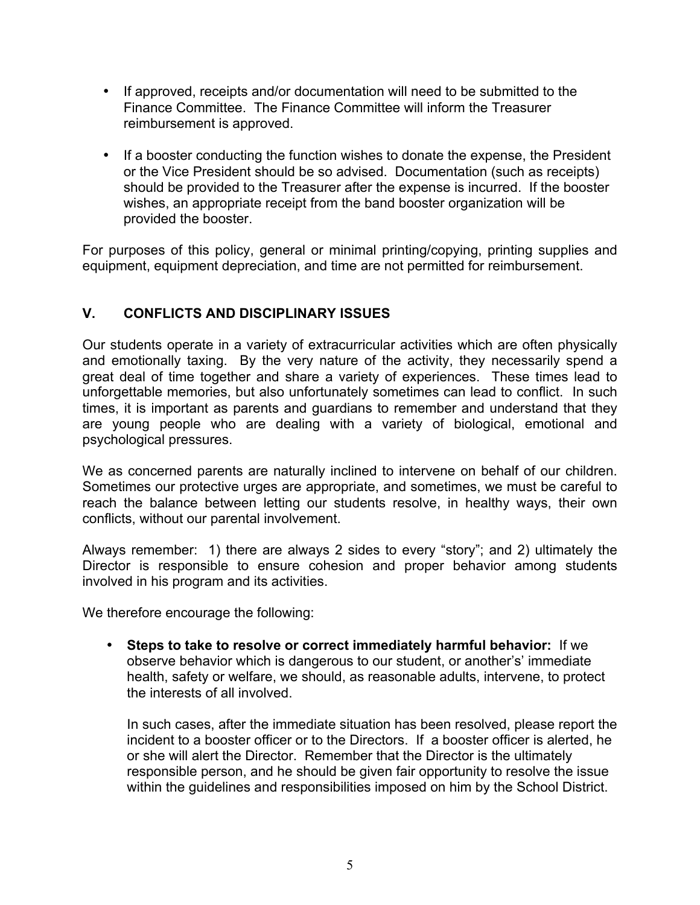- If approved, receipts and/or documentation will need to be submitted to the Finance Committee. The Finance Committee will inform the Treasurer reimbursement is approved.
- If a booster conducting the function wishes to donate the expense, the President or the Vice President should be so advised. Documentation (such as receipts) should be provided to the Treasurer after the expense is incurred. If the booster wishes, an appropriate receipt from the band booster organization will be provided the booster.

For purposes of this policy, general or minimal printing/copying, printing supplies and equipment, equipment depreciation, and time are not permitted for reimbursement.

## **V. CONFLICTS AND DISCIPLINARY ISSUES**

Our students operate in a variety of extracurricular activities which are often physically and emotionally taxing. By the very nature of the activity, they necessarily spend a great deal of time together and share a variety of experiences. These times lead to unforgettable memories, but also unfortunately sometimes can lead to conflict. In such times, it is important as parents and guardians to remember and understand that they are young people who are dealing with a variety of biological, emotional and psychological pressures.

We as concerned parents are naturally inclined to intervene on behalf of our children. Sometimes our protective urges are appropriate, and sometimes, we must be careful to reach the balance between letting our students resolve, in healthy ways, their own conflicts, without our parental involvement.

Always remember: 1) there are always 2 sides to every "story"; and 2) ultimately the Director is responsible to ensure cohesion and proper behavior among students involved in his program and its activities.

We therefore encourage the following:

• **Steps to take to resolve or correct immediately harmful behavior:** If we observe behavior which is dangerous to our student, or another's' immediate health, safety or welfare, we should, as reasonable adults, intervene, to protect the interests of all involved.

In such cases, after the immediate situation has been resolved, please report the incident to a booster officer or to the Directors. If a booster officer is alerted, he or she will alert the Director. Remember that the Director is the ultimately responsible person, and he should be given fair opportunity to resolve the issue within the guidelines and responsibilities imposed on him by the School District.